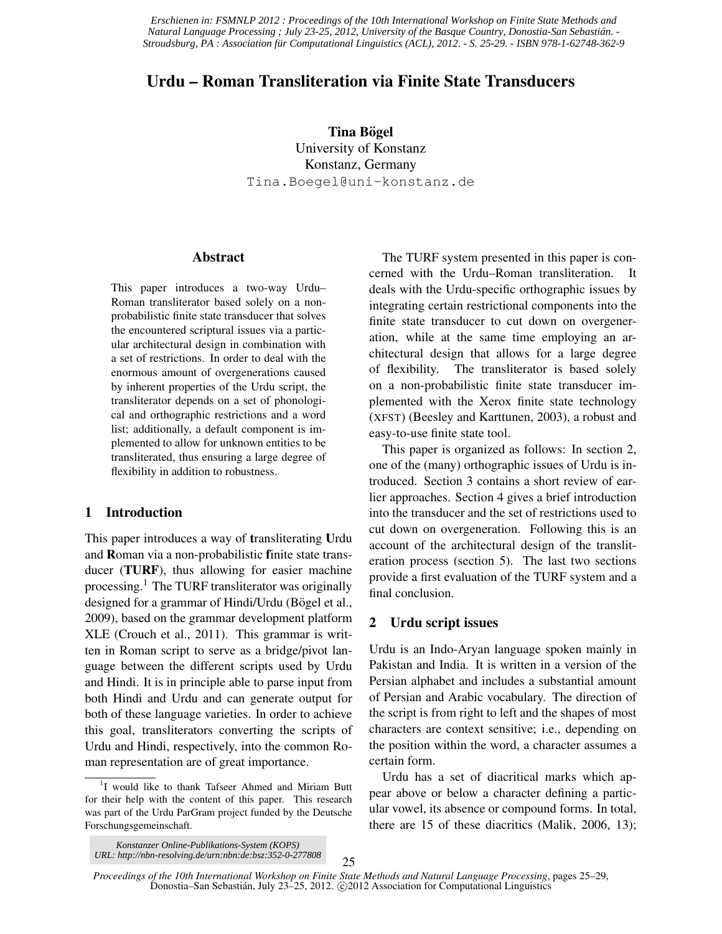*Erschienen in: FSMNLP 2012 : Proceedings of the 10th International Workshop on Finite State Methods and Natural Language Processing ; July 23-25, 2012, University of the Basque Country, Donostia-San Sebastián. - Stroudsburg, PA : Association für Computational Linguistics (ACL), 2012. - S. 25-29. - ISBN 978-1-62748-362-9*

# Urdu – Roman Transliteration via Finite State Transducers

Tina Bögel University of Konstanz Konstanz, Germany Tina.Boegel@uni-konstanz.de

### Abstract

This paper introduces a two-way Urdu– Roman transliterator based solely on a nonprobabilistic finite state transducer that solves the encountered scriptural issues via a particular architectural design in combination with a set of restrictions. In order to deal with the enormous amount of overgenerations caused by inherent properties of the Urdu script, the transliterator depends on a set of phonological and orthographic restrictions and a word list; additionally, a default component is implemented to allow for unknown entities to be transliterated, thus ensuring a large degree of flexibility in addition to robustness.

# 1 Introduction

This paper introduces a way of transliterating Urdu and Roman via a non-probabilistic finite state transducer (TURF), thus allowing for easier machine processing.<sup>1</sup> The TURF transliterator was originally designed for a grammar of Hindi/Urdu (Bögel et al., 2009), based on the grammar development platform XLE (Crouch et al., 2011). This grammar is written in Roman script to serve as a bridge/pivot language between the different scripts used by Urdu and Hindi. It is in principle able to parse input from both Hindi and Urdu and can generate output for both of these language varieties. In order to achieve this goal, transliterators converting the scripts of Urdu and Hindi, respectively, into the common Roman representation are of great importance.

The TURF system presented in this paper is concerned with the Urdu–Roman transliteration. It deals with the Urdu-specific orthographic issues by integrating certain restrictional components into the finite state transducer to cut down on overgeneration, while at the same time employing an architectural design that allows for a large degree of flexibility. The transliterator is based solely on a non-probabilistic finite state transducer implemented with the Xerox finite state technology (XFST) (Beesley and Karttunen, 2003), a robust and easy-to-use finite state tool.

This paper is organized as follows: In section 2, one of the (many) orthographic issues of Urdu is introduced. Section 3 contains a short review of earlier approaches. Section 4 gives a brief introduction into the transducer and the set of restrictions used to cut down on overgeneration. Following this is an account of the architectural design of the transliteration process (section 5). The last two sections provide a first evaluation of the TURF system and a final conclusion.

# 2 Urdu script issues

Urdu is an Indo-Aryan language spoken mainly in Pakistan and India. It is written in a version of the Persian alphabet and includes a substantial amount of Persian and Arabic vocabulary. The direction of the script is from right to left and the shapes of most characters are context sensitive; i.e., depending on the position within the word, a character assumes a certain form.

Urdu has a set of diacritical marks which appear above or below a character defining a particular vowel, its absence or compound forms. In total, there are 15 of these diacritics (Malik, 2006, 13);

25

<sup>&</sup>lt;sup>1</sup>I would like to thank Tafseer Ahmed and Miriam Butt for their help with the content of this paper. This research was part of the Urdu ParGram project funded by the Deutsche Forschungsgemeinschaft.

*Konstanzer Online-Publikations-System (KOPS) UR[L: http://nbn-resolving.de/urn:nbn:de:bsz:352-0-277808](http://nbn-resolving.de/urn:nbn:de:bsz:352-0-277808)*

*Proceedings of the 10th International Workshop on Finite State Methods and Natural Language Processing*, pages 25–29, Donostia–San Sebastián, July 23–25, 2012. © 2012 Association for Computational Linguistics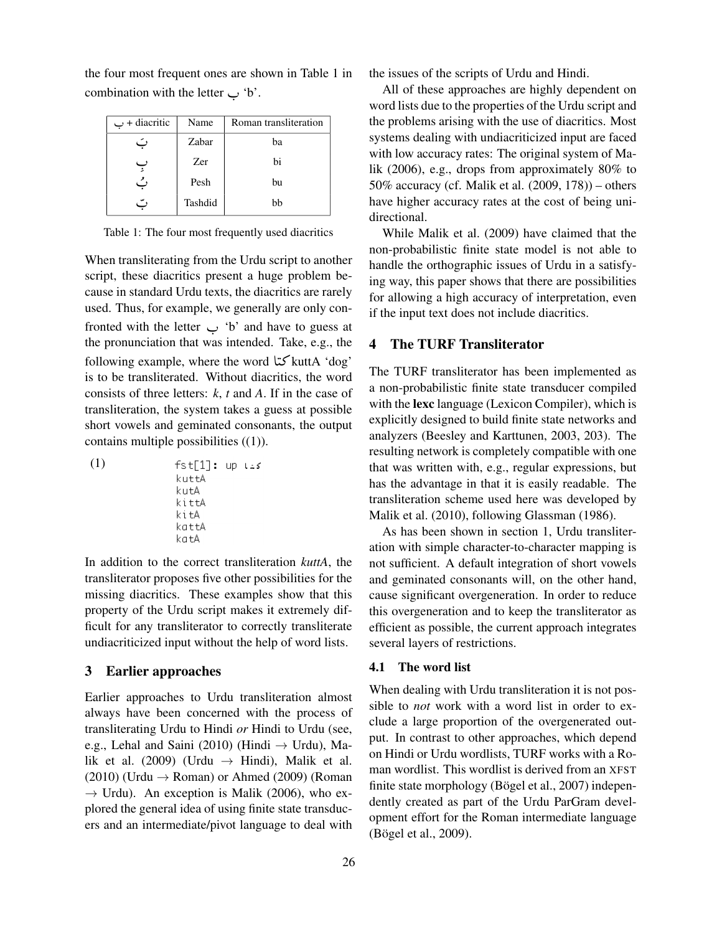| $\cup$ + diacritic | Name       | Roman transliteration |  |
|--------------------|------------|-----------------------|--|
| ا ت                | Zabar      | ba                    |  |
| ٻ                  | <b>Zer</b> | bi                    |  |
| ٽ                  | Pesh       | bu                    |  |
| ٠,                 | Tashdid    | bb                    |  |

the four most frequent ones are shown in Table 1 in combination with the letter  $\rightarrow$  'b'.

Table 1: The four most frequently used diacritics

When transliterating from the Urdu script to another script, these diacritics present a huge problem because in standard Urdu texts, the diacritics are rarely used. Thus, for example, we generally are only con $f$  fronted with the letter  $\frac{1}{2}$  'b' and have to guess at the propuncition that was intended. Take  $\alpha$  a the the pronunciation that was intended. Take, e.g., the following example, where the word A J» kuttA 'dog'  $\ddot{\cdot}$ is to be transliterated. Without diacritics, the word consists of three letters: *k*, *t* and *A*. If in the case of transliteration, the system takes a guess at possible short vowels and geminated consonants, the output contains multiple possibilities ((1)).

(1) 
$$
\begin{array}{ll}\n\text{fst[1]: up} \\
\text{kuttA} \\
\text{kuttA} \\
\text{kittA} \\
\text{kittA} \\
\text{kattA} \\
\text{kattA} \\
\text{kattA} \\
\text{kattA} \\
\text{kattA}\n\end{array}
$$

In addition to the correct transliteration *kuttA*, the transliterator proposes five other possibilities for the missing diacritics. These examples show that this property of the Urdu script makes it extremely difficult for any transliterator to correctly transliterate undiacriticized input without the help of word lists.

# 3 Earlier approaches

Earlier approaches to Urdu transliteration almost always have been concerned with the process of transliterating Urdu to Hindi *or* Hindi to Urdu (see, e.g., Lehal and Saini (2010) (Hindi  $\rightarrow$  Urdu), Malik et al. (2009) (Urdu  $\rightarrow$  Hindi), Malik et al.  $(2010)$  (Urdu  $\rightarrow$  Roman) or Ahmed (2009) (Roman  $\rightarrow$  Urdu). An exception is Malik (2006), who explored the general idea of using finite state transducers and an intermediate/pivot language to deal with the issues of the scripts of Urdu and Hindi.

All of these approaches are highly dependent on word lists due to the properties of the Urdu script and the problems arising with the use of diacritics. Most systems dealing with undiacriticized input are faced with low accuracy rates: The original system of Malik (2006), e.g., drops from approximately 80% to 50% accuracy (cf. Malik et al. (2009, 178)) – others have higher accuracy rates at the cost of being unidirectional.

While Malik et al. (2009) have claimed that the non-probabilistic finite state model is not able to handle the orthographic issues of Urdu in a satisfying way, this paper shows that there are possibilities for allowing a high accuracy of interpretation, even if the input text does not include diacritics.

# 4 The TURF Transliterator

The TURF transliterator has been implemented as a non-probabilistic finite state transducer compiled with the lexc language (Lexicon Compiler), which is explicitly designed to build finite state networks and analyzers (Beesley and Karttunen, 2003, 203). The resulting network is completely compatible with one that was written with, e.g., regular expressions, but has the advantage in that it is easily readable. The transliteration scheme used here was developed by Malik et al. (2010), following Glassman (1986).

As has been shown in section 1, Urdu transliteration with simple character-to-character mapping is not sufficient. A default integration of short vowels and geminated consonants will, on the other hand, cause significant overgeneration. In order to reduce this overgeneration and to keep the transliterator as efficient as possible, the current approach integrates several layers of restrictions.

## 4.1 The word list

When dealing with Urdu transliteration it is not possible to *not* work with a word list in order to exclude a large proportion of the overgenerated output. In contrast to other approaches, which depend on Hindi or Urdu wordlists, TURF works with a Roman wordlist. This wordlist is derived from an XFST finite state morphology (Bögel et al.,  $2007$ ) independently created as part of the Urdu ParGram development effort for the Roman intermediate language (Bögel et al., 2009).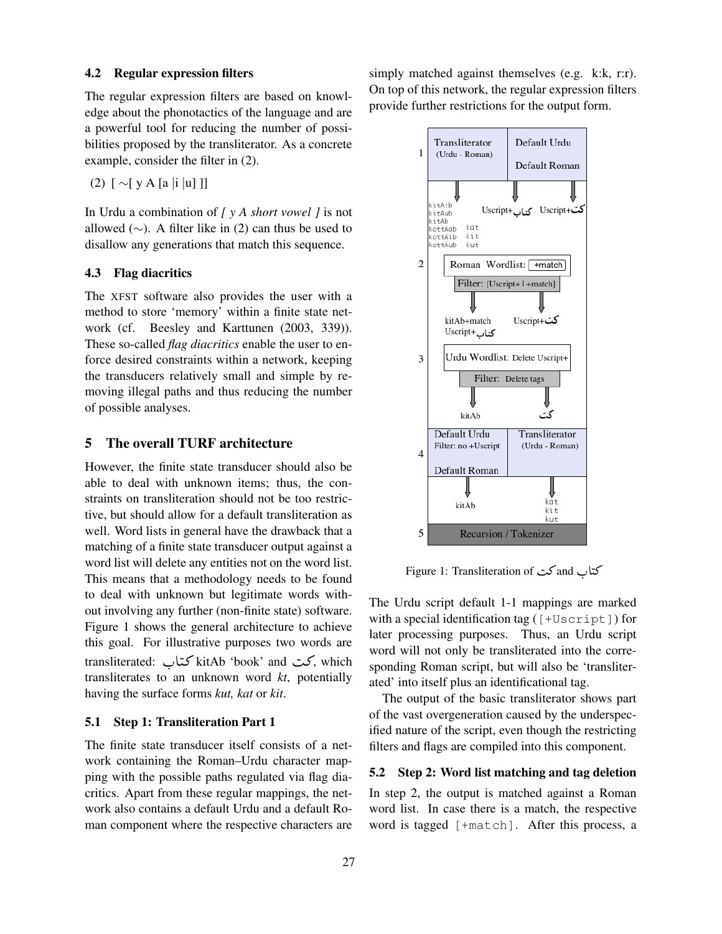#### 4.2 Regular expression filters

The regular expression filters are based on knowledge about the phonotactics of the language and are a powerful tool for reducing the number of possibilities proposed by the transliterator. As a concrete example, consider the filter in (2).

(2) [ ∼[ y A [a |i |u] ]]

In Urdu a combination of *[ y A short vowel ]* is not allowed ( $\sim$ ). A filter like in (2) can thus be used to disallow any generations that match this sequence.

### 4.3 Flag diacritics

The XFST software also provides the user with a method to store 'memory' within a finite state network (cf. Beesley and Karttunen (2003, 339)). These so-called *flag diacritics* enable the user to enforce desired constraints within a network, keeping the transducers relatively small and simple by removing illegal paths and thus reducing the number of possible analyses.

# 5 The overall TURF architecture

However, the finite state transducer should also be able to deal with unknown items; thus, the constraints on transliteration should not be too restrictive, but should allow for a default transliteration as well. Word lists in general have the drawback that a matching of a finite state transducer output against a word list will delete any entities not on the word list. This means that a methodology needs to be found to deal with unknown but legitimate words without involving any further (non-finite state) software. Figure 1 shows the general architecture to achieve this goal. For illustrative purposes two words are transliterated: كت kitAb 'book' and كتاب, which<br>transliterates to an unknown word kt, potentially A  $\ddot{ }$ transliterates to an unknown word *kt*, potentially having the surface forms *kut, kat* or *kit*.

# 5.1 Step 1: Transliteration Part 1

The finite state transducer itself consists of a network containing the Roman–Urdu character mapping with the possible paths regulated via flag diacritics. Apart from these regular mappings, the network also contains a default Urdu and a default Roman component where the respective characters are simply matched against themselves (e.g. k:k, r:r). On top of this network, the regular expression filters provide further restrictions for the output form.



کتاب and کت and Sigure 1: Transliteration of A :

The Urdu script default 1-1 mappings are marked with a special identification tag ([+Uscript]) for later processing purposes. Thus, an Urdu script word will not only be transliterated into the corresponding Roman script, but will also be 'transliterated' into itself plus an identificational tag.

The output of the basic transliterator shows part of the vast overgeneration caused by the underspecified nature of the script, even though the restricting filters and flags are compiled into this component.

## 5.2 Step 2: Word list matching and tag deletion

In step 2, the output is matched against a Roman word list. In case there is a match, the respective word is tagged [+match]. After this process, a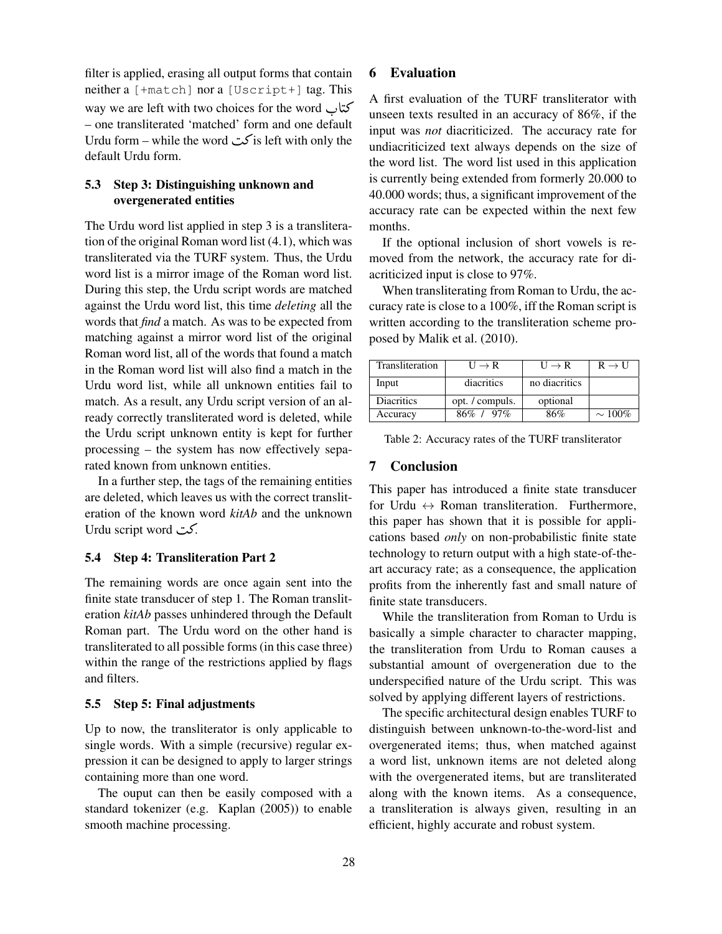filter is applied, erasing all output forms that contain neither a [+match] nor a [Uscript+] tag. This way we are left with two choices for the word كتاب<br>one transliterated 'matched' form and and data when A  $\ddot{\ddot{\ }}$ – one transliterated 'matched' form and one default Urdu form – while the word  $\sum$ is left with only the default Urdu form.

# 5.3 Step 3: Distinguishing unknown and overgenerated entities

The Urdu word list applied in step 3 is a transliteration of the original Roman word list (4.1), which was transliterated via the TURF system. Thus, the Urdu word list is a mirror image of the Roman word list. During this step, the Urdu script words are matched against the Urdu word list, this time *deleting* all the words that *find* a match. As was to be expected from matching against a mirror word list of the original Roman word list, all of the words that found a match in the Roman word list will also find a match in the Urdu word list, while all unknown entities fail to match. As a result, any Urdu script version of an already correctly transliterated word is deleted, while the Urdu script unknown entity is kept for further processing – the system has now effectively separated known from unknown entities.

In a further step, the tags of the remaining entities are deleted, which leaves us with the correct transliteration of the known word *kitAb* and the unknown Urdu script word  $\sim$ .

# 5.4 Step 4: Transliteration Part 2

The remaining words are once again sent into the finite state transducer of step 1. The Roman transliteration *kitAb* passes unhindered through the Default Roman part. The Urdu word on the other hand is transliterated to all possible forms (in this case three) within the range of the restrictions applied by flags and filters.

### 5.5 Step 5: Final adjustments

Up to now, the transliterator is only applicable to single words. With a simple (recursive) regular expression it can be designed to apply to larger strings containing more than one word.

The ouput can then be easily composed with a standard tokenizer (e.g. Kaplan (2005)) to enable smooth machine processing.

# 6 Evaluation

A first evaluation of the TURF transliterator with unseen texts resulted in an accuracy of 86%, if the input was *not* diacriticized. The accuracy rate for undiacriticized text always depends on the size of the word list. The word list used in this application is currently being extended from formerly 20.000 to 40.000 words; thus, a significant improvement of the accuracy rate can be expected within the next few months.

If the optional inclusion of short vowels is removed from the network, the accuracy rate for diacriticized input is close to 97%.

When transliterating from Roman to Urdu, the accuracy rate is close to a 100%, iff the Roman script is written according to the transliteration scheme proposed by Malik et al. (2010).

| Transliteration   | $U \rightarrow R$ | $U \rightarrow R$ | $R \rightarrow U$ |
|-------------------|-------------------|-------------------|-------------------|
| Input             | diacritics        | no diacritics     |                   |
| <b>Diacritics</b> | opt. / compuls.   | optional          |                   |
| Accuracy          | $86\% + 97\%$     | 86%               | $\sim 100\%$      |

Table 2: Accuracy rates of the TURF transliterator

## 7 Conclusion

This paper has introduced a finite state transducer for Urdu  $\leftrightarrow$  Roman transliteration. Furthermore, this paper has shown that it is possible for applications based *only* on non-probabilistic finite state technology to return output with a high state-of-theart accuracy rate; as a consequence, the application profits from the inherently fast and small nature of finite state transducers.

While the transliteration from Roman to Urdu is basically a simple character to character mapping, the transliteration from Urdu to Roman causes a substantial amount of overgeneration due to the underspecified nature of the Urdu script. This was solved by applying different layers of restrictions.

The specific architectural design enables TURF to distinguish between unknown-to-the-word-list and overgenerated items; thus, when matched against a word list, unknown items are not deleted along with the overgenerated items, but are transliterated along with the known items. As a consequence, a transliteration is always given, resulting in an efficient, highly accurate and robust system.